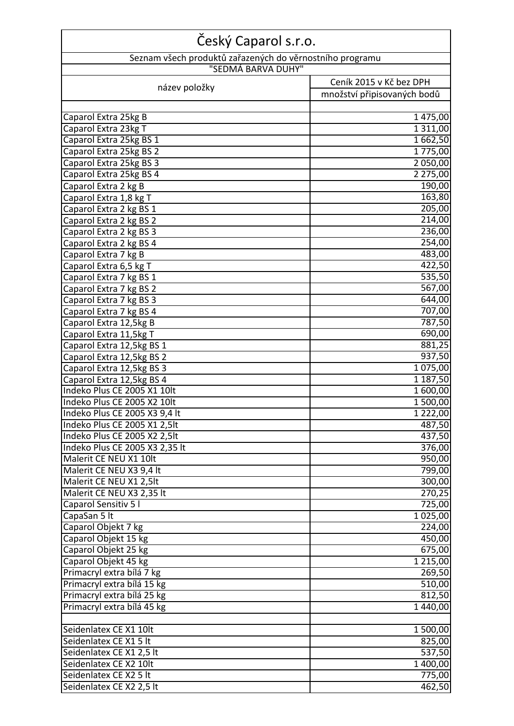| Český Caparol s.r.o.                                           |                             |  |
|----------------------------------------------------------------|-----------------------------|--|
| Seznam všech produktů zařazených do věrnostního programu       |                             |  |
| "SEDMÁ BARVA DUHY"                                             |                             |  |
| název položky                                                  | Ceník 2015 v Kč bez DPH     |  |
|                                                                | množství připisovaných bodů |  |
| Caparol Extra 25kg B                                           | 1475,00                     |  |
| Caparol Extra 23kg T                                           | 1 3 1 1 , 0 0               |  |
| Caparol Extra 25kg BS 1                                        | 1662,50                     |  |
| Caparol Extra 25kg BS 2                                        | 1775,00                     |  |
| Caparol Extra 25kg BS 3                                        | 2 050,00                    |  |
| Caparol Extra 25kg BS 4                                        | 2 275,00                    |  |
| Caparol Extra 2 kg B                                           | 190,00                      |  |
| Caparol Extra 1,8 kg T                                         | 163,80                      |  |
| Caparol Extra 2 kg BS 1                                        | 205,00                      |  |
| Caparol Extra 2 kg BS 2                                        | 214,00                      |  |
| Caparol Extra 2 kg BS 3                                        | 236,00                      |  |
| Caparol Extra 2 kg BS 4                                        | 254,00                      |  |
| Caparol Extra 7 kg B                                           | 483,00<br>422,50            |  |
| Caparol Extra 6,5 kg T<br>Caparol Extra 7 kg BS 1              | 535,50                      |  |
| Caparol Extra 7 kg BS 2                                        | 567,00                      |  |
| Caparol Extra 7 kg BS 3                                        | 644,00                      |  |
| Caparol Extra 7 kg BS 4                                        | 707,00                      |  |
| Caparol Extra 12,5kg B                                         | 787,50                      |  |
| Caparol Extra 11,5kg T                                         | 690,00                      |  |
| Caparol Extra 12,5kg BS 1                                      | 881,25                      |  |
| Caparol Extra 12,5kg BS 2                                      | 937,50                      |  |
| Caparol Extra 12,5kg BS 3                                      | 1 075,00                    |  |
| Caparol Extra 12,5kg BS 4                                      | 1 187,50                    |  |
| Indeko Plus CE 2005 X1 10lt                                    | 1 600,00                    |  |
| Indeko Plus CE 2005 X2 10lt                                    | 1 500,00                    |  |
| Indeko Plus CE 2005 X3 9,4 lt                                  | 1 222,00                    |  |
| Indeko Plus CE 2005 X1 2,5lt                                   | 487,50                      |  |
| Indeko Plus CE 2005 X2 2,5lt<br>Indeko Plus CE 2005 X3 2,35 lt | 437,50<br>376,00            |  |
| Malerit CE NEU X1 10lt                                         | 950,00                      |  |
| Malerit CE NEU X3 9,4 lt                                       | 799,00                      |  |
| Malerit CE NEU X1 2,5lt                                        | 300,00                      |  |
| Malerit CE NEU X3 2,35 lt                                      | 270,25                      |  |
| Caparol Sensitiv 51                                            | 725,00                      |  |
| CapaSan 5 It                                                   | 1 025,00                    |  |
| Caparol Objekt 7 kg                                            | 224,00                      |  |
| Caparol Objekt 15 kg                                           | 450,00                      |  |
| Caparol Objekt 25 kg                                           | 675,00                      |  |
| Caparol Objekt 45 kg                                           | 1 2 1 5,00                  |  |
| Primacryl extra bílá 7 kg                                      | 269,50                      |  |
| Primacryl extra bílá 15 kg                                     | 510,00                      |  |
| Primacryl extra bílá 25 kg                                     | 812,50                      |  |
| Primacryl extra bílá 45 kg                                     | 1 440,00                    |  |
| Seidenlatex CE X1 10lt                                         | 1 500,00                    |  |
| Seidenlatex CE X1 5 lt                                         | 825,00                      |  |
| Seidenlatex CE X1 2,5 lt                                       | 537,50                      |  |
| Seidenlatex CE X2 10lt                                         | 1 400,00                    |  |
| Seidenlatex CE X2 5 lt                                         | 775,00                      |  |
| Seidenlatex CE X2 2,5 lt                                       | 462,50                      |  |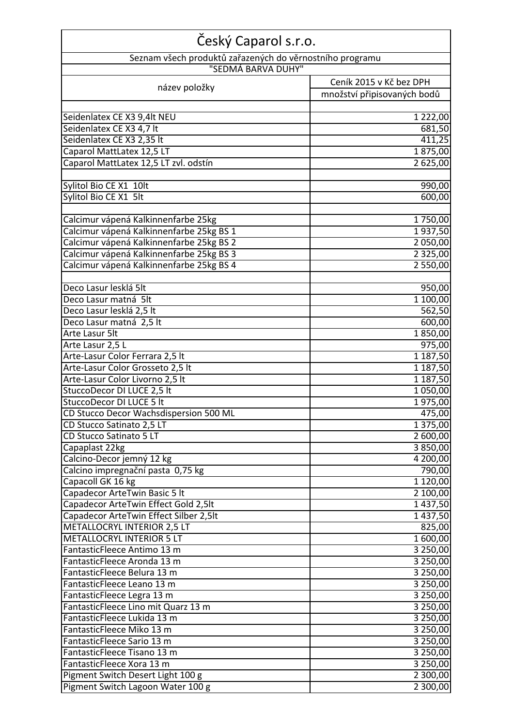| Český Caparol s.r.o.                                     |                             |  |
|----------------------------------------------------------|-----------------------------|--|
| Seznam všech produktů zařazených do věrnostního programu |                             |  |
| "SEDMÁ BARVA DUHY"                                       |                             |  |
| název položky                                            | Ceník 2015 v Kč bez DPH     |  |
|                                                          | množství připisovaných bodů |  |
|                                                          |                             |  |
| Seidenlatex CE X3 9,4lt NEU                              | 1 2 2 2 , 0 0               |  |
| Seidenlatex CE X3 4,7 lt                                 | 681,50                      |  |
| Seidenlatex CE X3 2,35 lt                                | 411,25                      |  |
| Caparol MattLatex 12,5 LT                                | 1875,00                     |  |
| Caparol MattLatex 12,5 LT zvl. odstín                    | 2 625,00                    |  |
| Sylitol Bio CE X1 10lt                                   |                             |  |
| Sylitol Bio CE X1 5lt                                    | 990,00<br>600,00            |  |
|                                                          |                             |  |
| Calcimur vápená Kalkinnenfarbe 25kg                      | 1750,00                     |  |
| Calcimur vápená Kalkinnenfarbe 25kg BS 1                 | 1937,50                     |  |
| Calcimur vápená Kalkinnenfarbe 25kg BS 2                 | 2 050,00                    |  |
| Calcimur vápená Kalkinnenfarbe 25kg BS 3                 | 2 3 2 5 , 0 0               |  |
| Calcimur vápená Kalkinnenfarbe 25kg BS 4                 | 2 550,00                    |  |
|                                                          |                             |  |
| Deco Lasur lesklá 5lt                                    | 950,00                      |  |
| Deco Lasur matná 5lt                                     | 1 100,00                    |  |
| Deco Lasur lesklá 2,5 lt                                 | 562,50                      |  |
| Deco Lasur matná 2,5 lt                                  | 600,00                      |  |
| Arte Lasur 5lt                                           | 1850,00                     |  |
| Arte Lasur 2,5 L                                         | 975,00                      |  |
| Arte-Lasur Color Ferrara 2,5 lt                          | 1 187,50                    |  |
| Arte-Lasur Color Grosseto 2,5 lt                         | 1 187,50                    |  |
| Arte-Lasur Color Livorno 2,5 lt                          | 1 187,50                    |  |
| StuccoDecor DI LUCE 2,5 lt                               | 1050,00                     |  |
| StuccoDecor DI LUCE 5 lt                                 | 1975,00                     |  |
| CD Stucco Decor Wachsdispersion 500 ML                   | 475,00                      |  |
| CD Stucco Satinato 2,5 LT                                | 1 375,00                    |  |
| CD Stucco Satinato 5 LT                                  | 2 600,00                    |  |
| Capaplast 22kg                                           | 3850,00                     |  |
| Calcino-Decor jemný 12 kg                                | 4 200,00                    |  |
| Calcino impregnační pasta 0,75 kg                        | 790,00                      |  |
| Capacoll GK 16 kg                                        | 1 1 2 0 , 0 0               |  |
| Capadecor ArteTwin Basic 5 It                            | 2 100,00                    |  |
| Capadecor ArteTwin Effect Gold 2,5lt                     | 1 437,50                    |  |
| Capadecor ArteTwin Effect Silber 2,5lt                   | 1 437,50                    |  |
| METALLOCRYL INTERIOR 2,5 LT                              | 825,00                      |  |
| <b>METALLOCRYL INTERIOR 5 LT</b>                         | 1 600,00                    |  |
| FantasticFleece Antimo 13 m                              | 3 250,00                    |  |
| FantasticFleece Aronda 13 m                              | 3 250,00                    |  |
| FantasticFleece Belura 13 m                              | 3 250,00                    |  |
| FantasticFleece Leano 13 m                               | 3 250,00                    |  |
| FantasticFleece Legra 13 m                               | 3 250,00                    |  |
| FantasticFleece Lino mit Quarz 13 m                      | 3 250,00                    |  |
| FantasticFleece Lukida 13 m                              | 3 250,00                    |  |
| FantasticFleece Miko 13 m                                | 3 250,00                    |  |
| FantasticFleece Sario 13 m                               | 3 250,00                    |  |
| FantasticFleece Tisano 13 m                              | 3 250,00                    |  |
| FantasticFleece Xora 13 m                                | 3 250,00                    |  |
| Pigment Switch Desert Light 100 g                        | 2 300,00                    |  |
| Pigment Switch Lagoon Water 100 g                        | 2 300,00                    |  |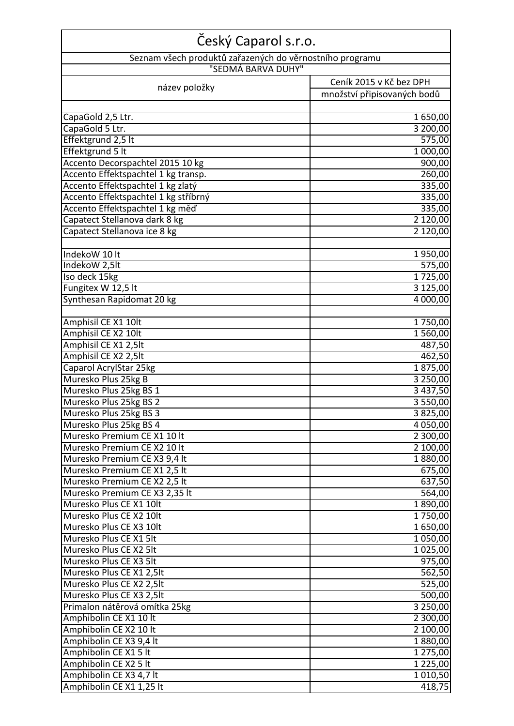| Český Caparol s.r.o.                                     |                             |  |
|----------------------------------------------------------|-----------------------------|--|
| Seznam všech produktů zařazených do věrnostního programu |                             |  |
| "SEDMÁ BARVA DUHY"                                       | Ceník 2015 v Kč bez DPH     |  |
| název položky                                            |                             |  |
|                                                          | množství připisovaných bodů |  |
| CapaGold 2,5 Ltr.                                        | 1650,00                     |  |
| CapaGold 5 Ltr.                                          | 3 200,00                    |  |
| Effektgrund 2,5 lt                                       | 575,00                      |  |
| Effektgrund 5 lt                                         | 1 000,00                    |  |
| Accento Decorspachtel 2015 10 kg                         | 900,00                      |  |
| Accento Effektspachtel 1 kg transp.                      | 260,00                      |  |
| Accento Effektspachtel 1 kg zlatý                        | 335,00                      |  |
| Accento Effektspachtel 1 kg stříbrný                     | 335,00                      |  |
| Accento Effektspachtel 1 kg měď                          | 335,00                      |  |
| Capatect Stellanova dark 8 kg                            | 2 120,00                    |  |
| Capatect Stellanova ice 8 kg                             | 2 120,00                    |  |
|                                                          |                             |  |
| IndekoW 10 lt                                            | 1950,00                     |  |
| IndekoW 2,5lt                                            | 575,00                      |  |
| Iso deck 15kg                                            | 1725,00                     |  |
| Fungitex W 12,5 lt                                       | 3 125,00                    |  |
| Synthesan Rapidomat 20 kg                                | 4 000,00                    |  |
|                                                          |                             |  |
| Amphisil CE X1 10lt                                      | $\overline{1}$ 750,00       |  |
| Amphisil CE X2 10lt                                      | 1560,00                     |  |
| Amphisil CE X1 2,5lt                                     | 487,50                      |  |
| Amphisil CE X2 2,5lt                                     | 462,50                      |  |
| Caparol AcrylStar 25kg                                   | 1875,00                     |  |
| Muresko Plus 25kg B                                      | 3 250,00                    |  |
| Muresko Plus 25kg BS 1                                   | 3 437,50                    |  |
| Muresko Plus 25kg BS 2                                   | 3 550,00                    |  |
| Muresko Plus 25kg BS 3                                   | 3 825,00                    |  |
| Muresko Plus 25kg BS 4                                   | 4 050,00                    |  |
| Muresko Premium CE X1 10 lt                              | 2 300,00                    |  |
| Muresko Premium CE X2 10 lt                              | 2 100,00                    |  |
| Muresko Premium CE X3 9,4 lt                             | 1880,00                     |  |
| Muresko Premium CE X1 2,5 lt                             | 675,00                      |  |
| Muresko Premium CE X2 2,5 lt                             | 637,50                      |  |
| Muresko Premium CE X3 2,35 lt                            | 564,00                      |  |
| Muresko Plus CE X1 10lt                                  | 1890,00                     |  |
| Muresko Plus CE X2 10lt                                  | 1750,00                     |  |
| Muresko Plus CE X3 10lt                                  | 1650,00                     |  |
| Muresko Plus CE X1 5lt                                   | 1050,00                     |  |
| Muresko Plus CE X2 5lt                                   | 1 025,00                    |  |
| Muresko Plus CE X3 5lt                                   | 975,00                      |  |
| Muresko Plus CE X1 2,5lt                                 | 562,50                      |  |
| Muresko Plus CE X2 2,5lt                                 | 525,00                      |  |
| Muresko Plus CE X3 2,5lt                                 | 500,00                      |  |
| Primalon nátěrová omítka 25kg                            | 3 250,00                    |  |
| Amphibolin CE X1 10 lt                                   | 2 300,00                    |  |
| Amphibolin CE X2 10 lt                                   | 2 100,00                    |  |
| Amphibolin CE X3 9,4 lt                                  | 1880,00                     |  |
| Amphibolin CE X1 5 lt                                    | 1 275,00                    |  |
| Amphibolin CE X2 5 lt                                    | 1 225,00                    |  |
| Amphibolin CE X3 4,7 lt                                  | 1010,50                     |  |
| Amphibolin CE X1 1,25 lt                                 | 418,75                      |  |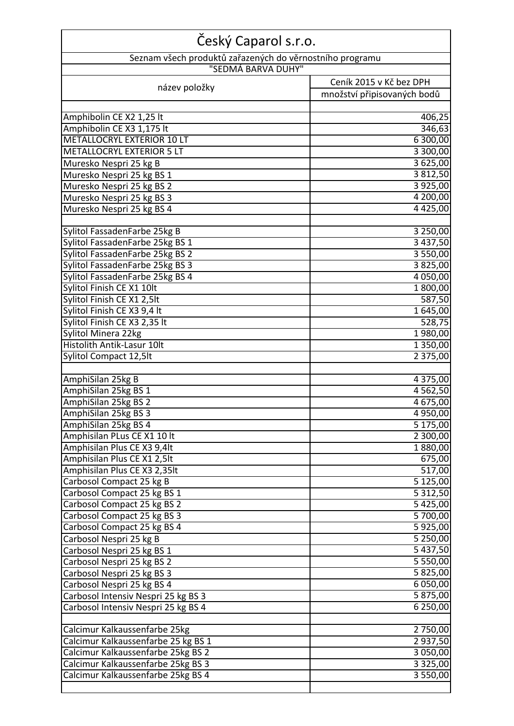| Český Caparol s.r.o.                                                     |                             |  |
|--------------------------------------------------------------------------|-----------------------------|--|
| Seznam všech produktů zařazených do věrnostního programu                 |                             |  |
| "SEDMÁ BARVA DUHY"                                                       |                             |  |
| název položky                                                            | Ceník 2015 v Kč bez DPH     |  |
|                                                                          | množství připisovaných bodů |  |
|                                                                          |                             |  |
| Amphibolin CE X2 1,25 lt<br>Amphibolin CE X3 1,175 lt                    | 406,25<br>346,63            |  |
| <b>METALLOCRYL EXTERIOR 10 LT</b>                                        | 6 300,00                    |  |
| <b>METALLOCRYL EXTERIOR 5 LT</b>                                         | 3 300,00                    |  |
| Muresko Nespri 25 kg B                                                   | 3 625,00                    |  |
| Muresko Nespri 25 kg BS 1                                                | 3812,50                     |  |
| Muresko Nespri 25 kg BS 2                                                | 3 9 2 5 , 0 0               |  |
| Muresko Nespri 25 kg BS 3                                                | 4 200,00                    |  |
| Muresko Nespri 25 kg BS 4                                                | 4 4 2 5 , 0 0               |  |
|                                                                          |                             |  |
| Sylitol FassadenFarbe 25kg B                                             | 3 250,00                    |  |
| Sylitol FassadenFarbe 25kg BS 1                                          | 3 437,50                    |  |
| Sylitol FassadenFarbe 25kg BS 2                                          | 3 550,00                    |  |
| Sylitol FassadenFarbe 25kg BS 3                                          | 3825,00                     |  |
| Sylitol FassadenFarbe 25kg BS 4                                          | 4 0 5 0 , 0 0               |  |
| Sylitol Finish CE X1 10lt                                                | 1800,00                     |  |
| Sylitol Finish CE X1 2,5lt                                               | 587,50                      |  |
| Sylitol Finish CE X3 9,4 lt                                              | 1 645,00                    |  |
| Sylitol Finish CE X3 2,35 lt                                             | 528,75                      |  |
| Sylitol Minera 22kg                                                      | 1980,00                     |  |
| Histolith Antik-Lasur 10lt                                               | 1 350,00                    |  |
| Sylitol Compact 12,5lt                                                   | 2 375,00                    |  |
| AmphiSilan 25kg B                                                        | 4 375,00                    |  |
| AmphiSilan 25kg BS 1                                                     | 4 5 6 2,50                  |  |
| AmphiSilan 25kg BS 2                                                     | 4 675,00                    |  |
| AmphiSilan 25kg BS 3                                                     | 4 950,00                    |  |
| AmphiSilan 25kg BS 4                                                     | 5 175,00                    |  |
| Amphisilan PLus CE X1 10 lt                                              | 2 300,00                    |  |
| Amphisilan Plus CE X3 9,4lt                                              | 1880,00                     |  |
| Amphisilan Plus CE X1 2,5lt                                              | 675,00                      |  |
| Amphisilan Plus CE X3 2,35lt                                             | 517,00                      |  |
| Carbosol Compact 25 kg B                                                 | 5 125,00                    |  |
| Carbosol Compact 25 kg BS 1                                              | 5 3 1 2,50                  |  |
| Carbosol Compact 25 kg BS 2                                              | 5 425,00                    |  |
| Carbosol Compact 25 kg BS 3                                              | 5700,00                     |  |
| Carbosol Compact 25 kg BS 4                                              | 5925,00                     |  |
| Carbosol Nespri 25 kg B                                                  | 5 250,00                    |  |
| Carbosol Nespri 25 kg BS 1                                               | 5 437,50                    |  |
| Carbosol Nespri 25 kg BS 2                                               | 5 550,00                    |  |
| Carbosol Nespri 25 kg BS 3                                               | 5 825,00                    |  |
| Carbosol Nespri 25 kg BS 4                                               | 6 050,00                    |  |
| Carbosol Intensiv Nespri 25 kg BS 3                                      | 5 875,00                    |  |
| Carbosol Intensiv Nespri 25 kg BS 4                                      | 6 250,00                    |  |
|                                                                          |                             |  |
| Calcimur Kalkaussenfarbe 25kg                                            | 2 750,00                    |  |
| Calcimur Kalkaussenfarbe 25 kg BS 1                                      | 2 937,50                    |  |
| Calcimur Kalkaussenfarbe 25kg BS 2<br>Calcimur Kalkaussenfarbe 25kg BS 3 | 3 050,00                    |  |
| Calcimur Kalkaussenfarbe 25kg BS 4                                       | 3 3 2 5 , 0 0<br>3550,00    |  |
|                                                                          |                             |  |
|                                                                          |                             |  |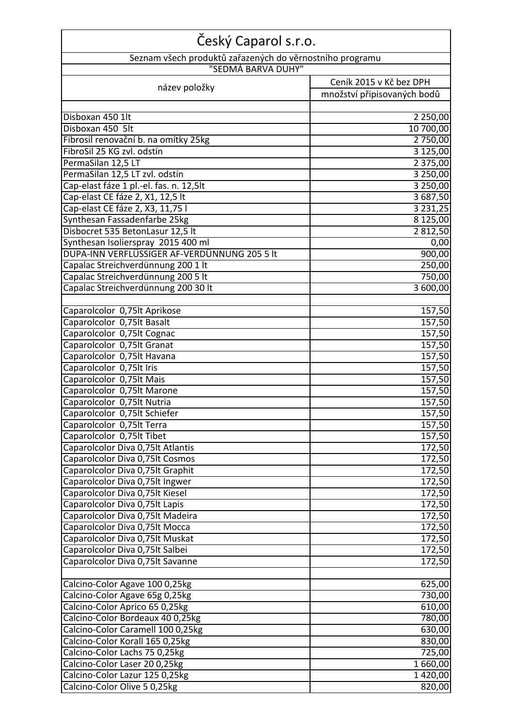| Český Caparol s.r.o.                                             |                             |  |
|------------------------------------------------------------------|-----------------------------|--|
| Seznam všech produktů zařazených do věrnostního programu         |                             |  |
| "SEDMÁ BARVA DUHY"                                               |                             |  |
| název položky                                                    | Ceník 2015 v Kč bez DPH     |  |
|                                                                  | množství připisovaných bodů |  |
|                                                                  |                             |  |
| Disboxan 450 1lt                                                 | 2 2 5 0 , 0 0               |  |
| Disboxan 450 5lt                                                 | 10 700,00                   |  |
| Fibrosil renovační b. na omítky 25kg                             | 2 750,00                    |  |
| FibroSil 25 KG zvl. odstín                                       | 3 125,00                    |  |
| PermaSilan 12,5 LT                                               | 2 375,00                    |  |
| PermaSilan 12,5 LT zvl. odstín                                   | 3 250,00                    |  |
| Cap-elast fáze 1 pl.-el. fas. n. 12,5lt                          | 3 250,00                    |  |
| Cap-elast CE fáze 2, X1, 12,5 lt                                 | 3 687,50                    |  |
| Cap-elast CE fáze 2, X3, 11,75 l                                 | 3 2 3 1 , 2 5               |  |
| Synthesan Fassadenfarbe 25kg                                     | 8 125,00                    |  |
| Disbocret 535 BetonLasur 12,5 lt                                 | 2 812,50                    |  |
| Synthesan Isolierspray 2015 400 ml                               | 0,00                        |  |
| DUPA-INN VERFLÜSSIGER AF-VERDÜNNUNG 205 5 lt                     | 900,00                      |  |
| Capalac Streichverdünnung 200 1 lt                               | 250,00                      |  |
| Capalac Streichverdünnung 200 5 lt                               | 750,00                      |  |
| Capalac Streichverdünnung 200 30 lt                              | 3 600,00                    |  |
|                                                                  |                             |  |
| Caparolcolor 0,75lt Aprikose                                     | 157,50                      |  |
| Caparolcolor 0,75lt Basalt                                       | 157,50                      |  |
| Caparolcolor 0,75lt Cognac                                       | 157,50                      |  |
| Caparolcolor 0,75lt Granat                                       | 157,50                      |  |
| Caparolcolor 0,75lt Havana                                       | 157,50                      |  |
| Caparolcolor 0,75lt Iris                                         | $\overline{1}$ 57,50        |  |
| Caparolcolor 0,75lt Mais                                         | 157,50                      |  |
| Caparolcolor 0,75lt Marone                                       | 157,50                      |  |
| Caparolcolor 0,75lt Nutria                                       | 157,50                      |  |
| Caparolcolor 0,75lt Schiefer                                     | 157,50                      |  |
| Caparolcolor 0,75lt Terra                                        | 157,50                      |  |
| Caparolcolor 0,75lt Tibet                                        | 157,50                      |  |
| Caparolcolor Diva 0,75lt Atlantis                                | $\overline{172,50}$         |  |
| Caparolcolor Diva 0,75lt Cosmos                                  | 172,50                      |  |
| Caparolcolor Diva 0,75lt Graphit                                 | 172,50                      |  |
| Caparolcolor Diva 0,75lt Ingwer                                  | 172,50                      |  |
| Caparolcolor Diva 0,75lt Kiesel                                  | 172,50                      |  |
| Caparolcolor Diva 0,75lt Lapis                                   | 172,50                      |  |
| Caparolcolor Diva 0,75lt Madeira                                 | 172,50                      |  |
| Caparolcolor Diva 0,75lt Mocca                                   | 172,50                      |  |
| Caparolcolor Diva 0,75lt Muskat                                  | 172,50                      |  |
| Caparolcolor Diva 0,75lt Salbei                                  | 172,50                      |  |
| Caparolcolor Diva 0,75lt Savanne                                 | 172,50                      |  |
|                                                                  |                             |  |
| Calcino-Color Agave 100 0,25kg                                   | 625,00                      |  |
| Calcino-Color Agave 65g 0,25kg<br>Calcino-Color Aprico 65 0,25kg | 730,00<br>610,00            |  |
| Calcino-Color Bordeaux 40 0,25kg                                 | 780,00                      |  |
| Calcino-Color Caramell 100 0,25kg                                | 630,00                      |  |
| Calcino-Color Korall 165 0,25kg                                  | 830,00                      |  |
| Calcino-Color Lachs 75 0,25kg                                    | 725,00                      |  |
| Calcino-Color Laser 20 0,25kg                                    | 1 660,00                    |  |
| Calcino-Color Lazur 125 0,25kg                                   | 1 4 2 0 , 0 0               |  |
| Calcino-Color Olive 5 0,25kg                                     | 820,00                      |  |
|                                                                  |                             |  |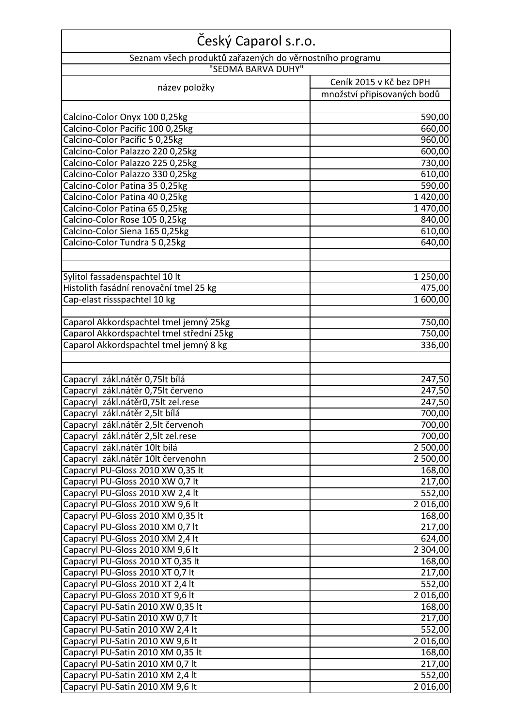| Český Caparol s.r.o.                                                     |                             |
|--------------------------------------------------------------------------|-----------------------------|
| Seznam všech produktů zařazených do věrnostního programu                 |                             |
| "SEDMÁ BARVA DUHY"                                                       |                             |
| název položky                                                            | Ceník 2015 v Kč bez DPH     |
|                                                                          | množství připisovaných bodů |
|                                                                          |                             |
| Calcino-Color Onyx 100 0,25kg                                            | 590,00                      |
| Calcino-Color Pacific 100 0,25kg                                         | 660,00                      |
| Calcino-Color Pacific 5 0,25kg                                           | 960,00                      |
| Calcino-Color Palazzo 220 0,25kg                                         | 600,00                      |
| Calcino-Color Palazzo 225 0,25kg                                         | 730,00                      |
| Calcino-Color Palazzo 330 0,25kg                                         | 610,00                      |
| Calcino-Color Patina 35 0,25kg<br>Calcino-Color Patina 40 0,25kg         | 590,00<br>1420,00           |
| Calcino-Color Patina 65 0,25kg                                           | 1470,00                     |
| Calcino-Color Rose 105 0,25kg                                            | 840,00                      |
| Calcino-Color Siena 165 0,25kg                                           | 610,00                      |
| Calcino-Color Tundra 5 0,25kg                                            | 640,00                      |
|                                                                          |                             |
|                                                                          |                             |
| Sylitol fassadenspachtel 10 lt<br>Histolith fasádní renovační tmel 25 kg | 1 250,00                    |
|                                                                          | 475,00                      |
| Cap-elast rissspachtel 10 kg                                             | 1 600,00                    |
| Caparol Akkordspachtel tmel jemný 25kg                                   | 750,00                      |
| Caparol Akkordspachtel tmel střední 25kg                                 | 750,00                      |
| Caparol Akkordspachtel tmel jemný 8 kg                                   | 336,00                      |
|                                                                          |                             |
|                                                                          |                             |
| Capacryl zákl.nátěr 0,75lt bílá                                          | 247,50                      |
| Capacryl zákl.nátěr 0,75lt červeno                                       | 247,50                      |
| Capacryl zákl.nátěr0,75lt zel.rese                                       | 247,50                      |
| Capacryl zákl.nátěr 2,5lt bílá                                           | 700,00                      |
| Capacryl zákl.nátěr 2,5lt červenoh                                       | 700,00                      |
| Capacryl zákl.nátěr 2,5lt zel.rese                                       | 700,00                      |
| Capacryl zákl.nátěr 10lt bílá                                            | 2 500,00                    |
| Capacryl zákl.nátěr 10lt červenohn<br>Capacryl PU-Gloss 2010 XW 0,35 lt  | $\overline{2}$ 500,00       |
| Capacryl PU-Gloss 2010 XW 0,7 lt                                         | 168,00<br>217,00            |
| Capacryl PU-Gloss 2010 XW 2,4 lt                                         | 552,00                      |
| Capacryl PU-Gloss 2010 XW 9,6 lt                                         | 2 016,00                    |
| Capacryl PU-Gloss 2010 XM 0,35 lt                                        | 168,00                      |
| Capacryl PU-Gloss 2010 XM 0,7 lt                                         | 217,00                      |
| Capacryl PU-Gloss 2010 XM 2,4 lt                                         | 624,00                      |
| Capacryl PU-Gloss 2010 XM 9,6 lt                                         | 2 304,00                    |
| Capacryl PU-Gloss 2010 XT 0,35 lt                                        | 168,00                      |
| Capacryl PU-Gloss 2010 XT 0,7 lt                                         | 217,00                      |
| Capacryl PU-Gloss 2010 XT 2,4 lt                                         | 552,00                      |
| Capacryl PU-Gloss 2010 XT 9,6 lt                                         | 2 016,00                    |
| Capacryl PU-Satin 2010 XW 0,35 lt                                        | 168,00                      |
| Capacryl PU-Satin 2010 XW 0,7 lt                                         | 217,00                      |
| Capacryl PU-Satin 2010 XW 2,4 lt                                         | 552,00                      |
| Capacryl PU-Satin 2010 XW 9,6 lt                                         | 2 016,00                    |
| Capacryl PU-Satin 2010 XM 0,35 lt                                        | 168,00                      |
| Capacryl PU-Satin 2010 XM 0,7 lt                                         | 217,00                      |
| Capacryl PU-Satin 2010 XM 2,4 lt                                         | 552,00                      |
| Capacryl PU-Satin 2010 XM 9,6 lt                                         | 2 016,00                    |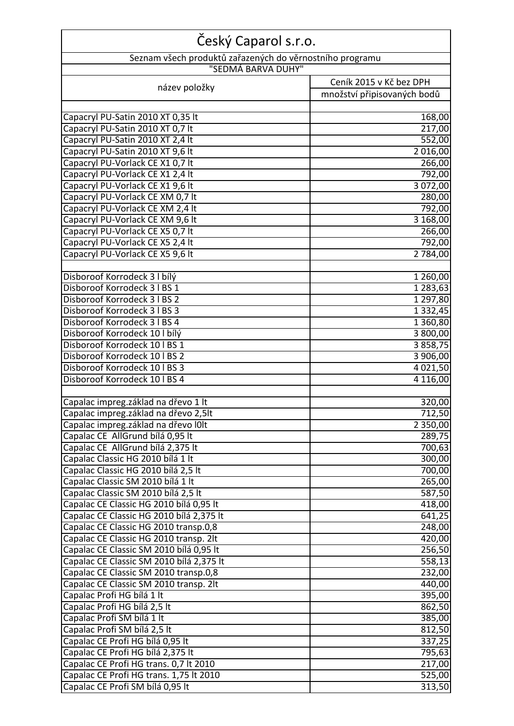| Český Caparol s.r.o.                                                                |                             |  |
|-------------------------------------------------------------------------------------|-----------------------------|--|
| Seznam všech produktů zařazených do věrnostního programu                            |                             |  |
| "SEDMÁ BARVA DUHY"                                                                  |                             |  |
| název položky                                                                       | Ceník 2015 v Kč bez DPH     |  |
|                                                                                     | množství připisovaných bodů |  |
|                                                                                     |                             |  |
| Capacryl PU-Satin 2010 XT 0,35 lt                                                   | 168,00                      |  |
| Capacryl PU-Satin 2010 XT 0,7 lt<br>Capacryl PU-Satin 2010 XT 2,4 lt                | 217,00                      |  |
| Capacryl PU-Satin 2010 XT 9,6 lt                                                    | 552,00<br>2016,00           |  |
| Capacryl PU-Vorlack CE X1 0,7 lt                                                    | 266,00                      |  |
| Capacryl PU-Vorlack CE X1 2,4 lt                                                    | 792,00                      |  |
| Capacryl PU-Vorlack CE X1 9,6 lt                                                    | 3 072,00                    |  |
| Capacryl PU-Vorlack CE XM 0,7 lt                                                    | 280,00                      |  |
| Capacryl PU-Vorlack CE XM 2,4 lt                                                    | 792,00                      |  |
| Capacryl PU-Vorlack CE XM 9,6 lt                                                    | 3 168,00                    |  |
| Capacryl PU-Vorlack CE X5 0,7 lt                                                    | 266,00                      |  |
| Capacryl PU-Vorlack CE X5 2,4 lt                                                    | 792,00                      |  |
| Capacryl PU-Vorlack CE X5 9,6 lt                                                    | 2 784,00                    |  |
|                                                                                     |                             |  |
| Disboroof Korrodeck 3   bílý                                                        | 1 260,00                    |  |
| Disboroof Korrodeck 3   BS 1                                                        | 1 283,63                    |  |
| Disboroof Korrodeck 3   BS 2                                                        | 1 297,80                    |  |
| Disboroof Korrodeck 3   BS 3                                                        | 1 3 3 2 , 4 5               |  |
| Disboroof Korrodeck 3   BS 4                                                        | 1 360,80                    |  |
| Disboroof Korrodeck 10   bílý                                                       | 3 800,00                    |  |
| Disboroof Korrodeck 10   BS 1                                                       | 3858,75                     |  |
| Disboroof Korrodeck 10   BS 2<br>Disboroof Korrodeck 10   BS 3                      | 3 906,00<br>4 0 2 1 , 5 0   |  |
| Disboroof Korrodeck 10   BS 4                                                       | 4 1 1 6,00                  |  |
|                                                                                     |                             |  |
| Capalac impreg.základ na dřevo 1 lt                                                 | 320,00                      |  |
| Capalac impreg.základ na dřevo 2,5lt                                                | 712,50                      |  |
| Capalac impreg.základ na dřevo IOIt                                                 | 2 3 5 0 , 0 0               |  |
| Capalac CE AllGrund bílá 0,95 lt                                                    | 289,75                      |  |
| Capalac CE AllGrund bílá 2,375 lt                                                   | 700,63                      |  |
| Capalac Classic HG 2010 bílá 1 lt                                                   | 300,00                      |  |
| Capalac Classic HG 2010 bílá 2,5 lt                                                 | 700,00                      |  |
| Capalac Classic SM 2010 bílá 1 lt                                                   | 265,00                      |  |
| Capalac Classic SM 2010 bílá 2,5 lt                                                 | 587,50                      |  |
| Capalac CE Classic HG 2010 bílá 0,95 lt                                             | 418,00                      |  |
| Capalac CE Classic HG 2010 bílá 2,375 lt                                            | 641,25                      |  |
| Capalac CE Classic HG 2010 transp.0,8                                               | 248,00                      |  |
| Capalac CE Classic HG 2010 transp. 2lt                                              | 420,00                      |  |
| Capalac CE Classic SM 2010 bílá 0,95 lt<br>Capalac CE Classic SM 2010 bílá 2,375 lt | 256,50                      |  |
| Capalac CE Classic SM 2010 transp.0,8                                               | 558,13<br>232,00            |  |
| Capalac CE Classic SM 2010 transp. 2lt                                              | 440,00                      |  |
| Capalac Profi HG bílá 1 lt                                                          | 395,00                      |  |
| Capalac Profi HG bílá 2,5 lt                                                        | 862,50                      |  |
| Capalac Profi SM bílá 1 lt                                                          | 385,00                      |  |
| Capalac Profi SM bílá 2,5 lt                                                        | 812,50                      |  |
| Capalac CE Profi HG bílá 0,95 lt                                                    | 337,25                      |  |
| Capalac CE Profi HG bílá 2,375 lt                                                   | 795,63                      |  |
| Capalac CE Profi HG trans. 0,7 lt 2010                                              | 217,00                      |  |
| Capalac CE Profi HG trans. 1,75 lt 2010                                             | 525,00                      |  |
| Capalac CE Profi SM bílá 0,95 lt                                                    | 313,50                      |  |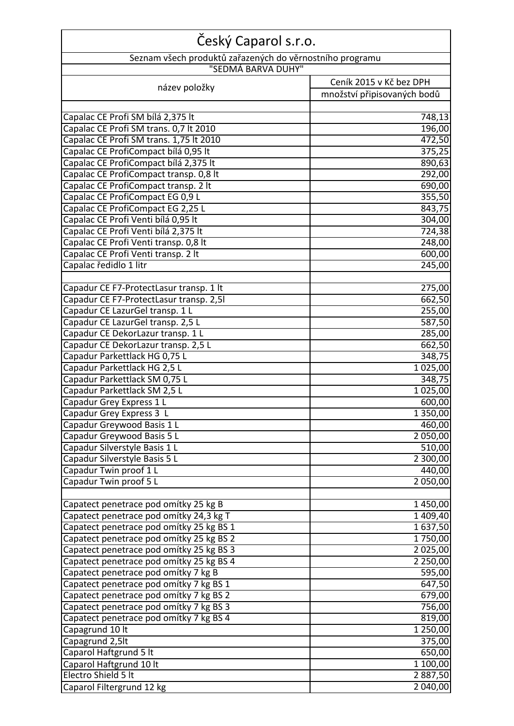| Český Caparol s.r.o.                                     |                             |
|----------------------------------------------------------|-----------------------------|
| Seznam všech produktů zařazených do věrnostního programu |                             |
| "SEDMÁ BARVA DUHY"                                       |                             |
| název položky                                            | Ceník 2015 v Kč bez DPH     |
|                                                          | množství připisovaných bodů |
|                                                          |                             |
| Capalac CE Profi SM bílá 2,375 lt                        | 748,13                      |
| Capalac CE Profi SM trans. 0,7 lt 2010                   | 196,00                      |
| Capalac CE Profi SM trans. 1,75 lt 2010                  | 472,50                      |
| Capalac CE ProfiCompact bílá 0,95 lt                     | 375,25                      |
| Capalac CE ProfiCompact bílá 2,375 lt                    | 890,63                      |
| Capalac CE ProfiCompact transp. 0,8 lt                   | 292,00                      |
| Capalac CE ProfiCompact transp. 2 lt                     | 690,00                      |
| Capalac CE ProfiCompact EG 0,9 L                         | 355,50                      |
| Capalac CE ProfiCompact EG 2,25 L                        | 843,75                      |
| Capalac CE Profi Venti bílá 0,95 lt                      | 304,00                      |
| Capalac CE Profi Venti bílá 2,375 lt                     | 724,38                      |
| Capalac CE Profi Venti transp. 0,8 lt                    | 248,00                      |
| Capalac CE Profi Venti transp. 2 lt                      | 600,00                      |
| Capalac ředidlo 1 litr                                   | 245,00                      |
| Capadur CE F7-ProtectLasur transp. 1 lt                  | 275,00                      |
| Capadur CE F7-ProtectLasur transp. 2,51                  | 662,50                      |
| Capadur CE LazurGel transp. 1 L                          | 255,00                      |
| Capadur CE LazurGel transp. 2,5 L                        | 587,50                      |
| Capadur CE DekorLazur transp. 1 L                        | 285,00                      |
| Capadur CE DekorLazur transp. 2,5 L                      | 662,50                      |
| Capadur Parkettlack HG 0,75 L                            | 348,75                      |
| Capadur Parkettlack HG 2,5 L                             | 1 025,00                    |
| Capadur Parkettlack SM 0,75 L                            | 348,75                      |
| Capadur Parkettlack SM 2,5 L                             | 1 025,00                    |
| Capadur Grey Express 1 L                                 | 600,00                      |
| Capadur Grey Express 3 I                                 | 1 350,00                    |
| Capadur Greywood Basis 1 L                               | 460,00                      |
| Capadur Greywood Basis 5 L                               | 2 050,00                    |
| Capadur Silverstyle Basis 1 L                            | 510,00                      |
| Capadur Silverstyle Basis 5 L                            | 2 300,00                    |
| Capadur Twin proof 1 L                                   | 440,00                      |
| Capadur Twin proof 5 L                                   | 2 050,00                    |
|                                                          |                             |
| Capatect penetrace pod omítky 25 kg B                    | 1450,00                     |
| Capatect penetrace pod omítky 24,3 kg T                  | 1 409,40                    |
| Capatect penetrace pod omítky 25 kg BS 1                 | 1637,50                     |
| Capatect penetrace pod omítky 25 kg BS 2                 | 1750,00                     |
| Capatect penetrace pod omítky 25 kg BS 3                 | 2 0 2 5 , 0 0               |
| Capatect penetrace pod omítky 25 kg BS 4                 | 2 250,00                    |
| Capatect penetrace pod omítky 7 kg B                     | 595,00                      |
| Capatect penetrace pod omítky 7 kg BS 1                  | 647,50                      |
| Capatect penetrace pod omítky 7 kg BS 2                  | 679,00                      |
| Capatect penetrace pod omítky 7 kg BS 3                  | 756,00                      |
| Capatect penetrace pod omítky 7 kg BS 4                  | 819,00                      |
| Capagrund 10 lt                                          | 1 250,00                    |
| Capagrund 2,5lt                                          | 375,00                      |
| Caparol Haftgrund 5 lt                                   | 650,00                      |
| Caparol Haftgrund 10 lt                                  | 1 100,00                    |
| Electro Shield 5 It                                      | 2887,50                     |
| Caparol Filtergrund 12 kg                                | 2 040,00                    |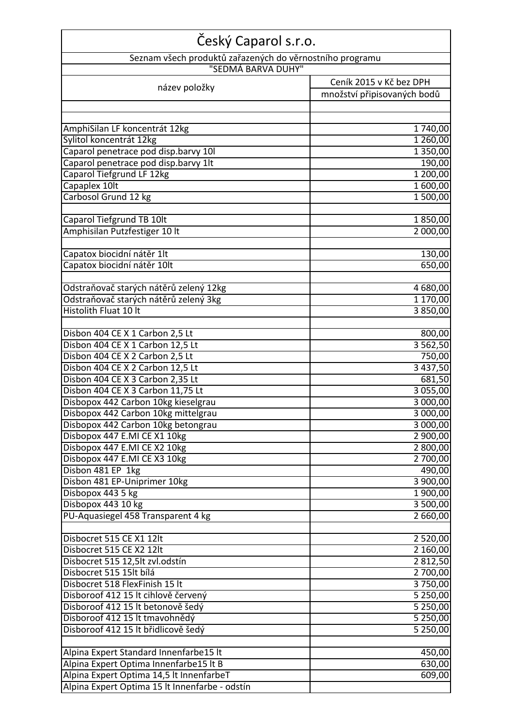| Český Caparol s.r.o.                                                           |                             |  |
|--------------------------------------------------------------------------------|-----------------------------|--|
| Seznam všech produktů zařazených do věrnostního programu<br>"SEDMÁ BARVA DUHY" |                             |  |
| Ceník 2015 v Kč bez DPH                                                        |                             |  |
| název položky                                                                  | množství připisovaných bodů |  |
|                                                                                |                             |  |
|                                                                                |                             |  |
| AmphiSilan LF koncentrát 12kg                                                  | 1740,00                     |  |
| Sylitol koncentrát 12kg<br>Caparol penetrace pod disp.barvy 10I                | 1 260,00<br>1 350,00        |  |
| Caparol penetrace pod disp.barvy 1lt                                           | 190,00                      |  |
| Caparol Tiefgrund LF 12kg                                                      | 1 200,00                    |  |
| Capaplex 10lt                                                                  | 1 600,00                    |  |
| Carbosol Grund 12 kg                                                           | 1 500,00                    |  |
|                                                                                |                             |  |
| Caparol Tiefgrund TB 10lt                                                      | 1850,00                     |  |
| Amphisilan Putzfestiger 10 lt                                                  | 2 000,00                    |  |
|                                                                                |                             |  |
| Capatox biocidní nátěr 1lt                                                     | 130,00                      |  |
| Capatox biocidní nátěr 10lt                                                    | 650,00                      |  |
|                                                                                |                             |  |
| Odstraňovač starých nátěrů zelený 12kg                                         | 4 680,00                    |  |
| Odstraňovač starých nátěrů zelený 3kg                                          | 1 170,00                    |  |
| Histolith Fluat 10 lt                                                          | 3850,00                     |  |
| Disbon 404 CE X 1 Carbon 2,5 Lt                                                | 800,00                      |  |
| Disbon 404 CE X 1 Carbon 12,5 Lt                                               | 3 5 6 2, 5 0                |  |
| Disbon 404 CE X 2 Carbon 2,5 Lt                                                | 750,00                      |  |
| Disbon 404 CE X 2 Carbon 12,5 Lt                                               | 3 4 3 7, 5 0                |  |
| Disbon 404 CE X 3 Carbon 2,35 Lt                                               | 681,50                      |  |
| Disbon 404 CE X 3 Carbon 11,75 Lt                                              | 3 0 5 5 , 0 0               |  |
| Disbopox 442 Carbon 10kg kieselgrau                                            | 3 000,00                    |  |
| Disbopox 442 Carbon 10kg mittelgrau                                            | 3 000,00                    |  |
| Disbopox 442 Carbon 10kg betongrau                                             | 3 000,00                    |  |
| Disbopox 447 E.MI CE X1 10kg                                                   | 2 900,00                    |  |
| Disbopox 447 E.MI CE X2 10kg                                                   | 2 800,00                    |  |
| Disbopox 447 E.MI CE X3 10kg                                                   | 2 700,00                    |  |
| Disbon 481 EP 1kg                                                              | 490,00                      |  |
| Disbon 481 EP-Uniprimer 10kg                                                   | 3 900,00                    |  |
| Disbopox 443 5 kg                                                              | 1 900,00                    |  |
| Disbopox 443 10 kg                                                             | 3 500,00                    |  |
| PU-Aquasiegel 458 Transparent 4 kg                                             | 2 660,00                    |  |
| Disbocret 515 CE X1 12lt                                                       | 2 5 2 0 ,00                 |  |
| Disbocret 515 CE X2 12lt                                                       | 2 160,00                    |  |
| Disbocret 515 12,5lt zvl.odstín                                                | 2812,50                     |  |
| Disbocret 515 15lt bílá                                                        | 2 700,00                    |  |
| Disbocret 518 FlexFinish 15 lt                                                 | 3750,00                     |  |
| Disboroof 412 15 lt cihlově červený                                            | 5 250,00                    |  |
| Disboroof 412 15 lt betonově šedý                                              | 5 250,00                    |  |
| Disboroof 412 15 lt tmavohnědý                                                 | 5 250,00                    |  |
| Disboroof 412 15 lt břidlicově šedý                                            | 5 250,00                    |  |
|                                                                                |                             |  |
| Alpina Expert Standard Innenfarbe15 It                                         | 450,00                      |  |
| Alpina Expert Optima Innenfarbe15 It B                                         | 630,00                      |  |
| Alpina Expert Optima 14,5 lt InnenfarbeT                                       | 609,00                      |  |
| Alpina Expert Optima 15 lt Innenfarbe - odstín                                 |                             |  |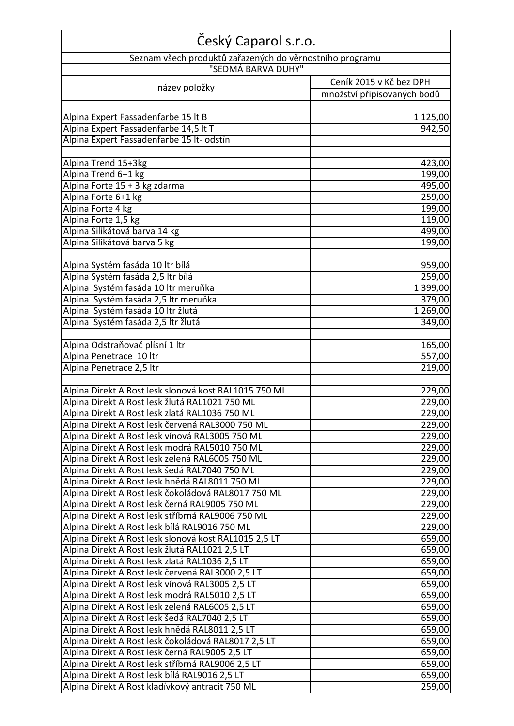| Český Caparol s.r.o.                                     |                             |  |
|----------------------------------------------------------|-----------------------------|--|
| Seznam všech produktů zařazených do věrnostního programu |                             |  |
| "SEDMÁ BARVA DUHY"                                       |                             |  |
| název položky                                            | Ceník 2015 v Kč bez DPH     |  |
|                                                          | množství připisovaných bodů |  |
|                                                          |                             |  |
| Alpina Expert Fassadenfarbe 15 lt B                      | 1 125,00                    |  |
| Alpina Expert Fassadenfarbe 14,5 lt T                    | 942,50                      |  |
| Alpina Expert Fassadenfarbe 15 lt- odstín                |                             |  |
|                                                          |                             |  |
| Alpina Trend 15+3kg                                      | 423,00                      |  |
| Alpina Trend 6+1 kg                                      | 199,00                      |  |
| Alpina Forte 15 + 3 kg zdarma                            | 495,00                      |  |
| Alpina Forte 6+1 kg                                      | 259,00                      |  |
| Alpina Forte 4 kg                                        | 199,00                      |  |
| Alpina Forte 1,5 kg                                      | 119,00                      |  |
| Alpina Silikátová barva 14 kg                            | 499,00                      |  |
| Alpina Silikátová barva 5 kg                             | 199,00                      |  |
|                                                          |                             |  |
| Alpina Systém fasáda 10 ltr bílá                         | 959,00                      |  |
| Alpina Systém fasáda 2,5 ltr bílá                        | 259,00                      |  |
| Alpina Systém fasáda 10 ltr meruňka                      | 1 399,00                    |  |
| Alpina Systém fasáda 2,5 ltr meruňka                     | 379,00                      |  |
| Alpina Systém fasáda 10 ltr žlutá                        | 1 269,00                    |  |
| Alpina Systém fasáda 2,5 ltr žlutá                       | 349,00                      |  |
| Alpina Odstraňovač plísní 1 ltr                          | 165,00                      |  |
| Alpina Penetrace 10 ltr                                  | 557,00                      |  |
| Alpina Penetrace 2,5 ltr                                 | 219,00                      |  |
|                                                          |                             |  |
| Alpina Direkt A Rost lesk slonová kost RAL1015 750 ML    | 229,00                      |  |
| Alpina Direkt A Rost lesk žlutá RAL1021 750 ML           | 229,00                      |  |
| Alpina Direkt A Rost lesk zlatá RAL1036 750 ML           | 229,00                      |  |
| Alpina Direkt A Rost lesk červená RAL3000 750 ML         | 229,00                      |  |
| Alpina Direkt A Rost lesk vínová RAL3005 750 ML          | 229,00                      |  |
| Alpina Direkt A Rost lesk modrá RAL5010 750 ML           | 229,00                      |  |
| Alpina Direkt A Rost lesk zelená RAL6005 750 ML          | 229,00                      |  |
| Alpina Direkt A Rost lesk šedá RAL7040 750 ML            | 229,00                      |  |
| Alpina Direkt A Rost lesk hnědá RAL8011 750 ML           | 229,00                      |  |
| Alpina Direkt A Rost lesk čokoládová RAL8017 750 ML      | 229,00                      |  |
| Alpina Direkt A Rost lesk černá RAL9005 750 ML           | 229,00                      |  |
| Alpina Direkt A Rost lesk stříbrná RAL9006 750 ML        | 229,00                      |  |
| Alpina Direkt A Rost lesk bílá RAL9016 750 ML            | 229,00                      |  |
| Alpina Direkt A Rost lesk slonová kost RAL1015 2,5 LT    | 659,00                      |  |
| Alpina Direkt A Rost lesk žlutá RAL1021 2,5 LT           | 659,00                      |  |
| Alpina Direkt A Rost lesk zlatá RAL1036 2,5 LT           | 659,00                      |  |
| Alpina Direkt A Rost lesk červená RAL3000 2,5 LT         | 659,00                      |  |
| Alpina Direkt A Rost lesk vínová RAL3005 2,5 LT          | 659,00                      |  |
| Alpina Direkt A Rost lesk modrá RAL5010 2,5 LT           | 659,00                      |  |
| Alpina Direkt A Rost lesk zelená RAL6005 2,5 LT          | 659,00                      |  |
| Alpina Direkt A Rost lesk šedá RAL7040 2,5 LT            | 659,00                      |  |
| Alpina Direkt A Rost lesk hnědá RAL8011 2,5 LT           | $\overline{6}$ 59,00        |  |
| Alpina Direkt A Rost lesk čokoládová RAL8017 2,5 LT      | 659,00                      |  |
| Alpina Direkt A Rost lesk černá RAL9005 2,5 LT           | 659,00                      |  |
| Alpina Direkt A Rost lesk stříbrná RAL9006 2,5 LT        | 659,00                      |  |
| Alpina Direkt A Rost lesk bílá RAL9016 2,5 LT            | 659,00                      |  |
| Alpina Direkt A Rost kladívkový antracit 750 ML          | 259,00                      |  |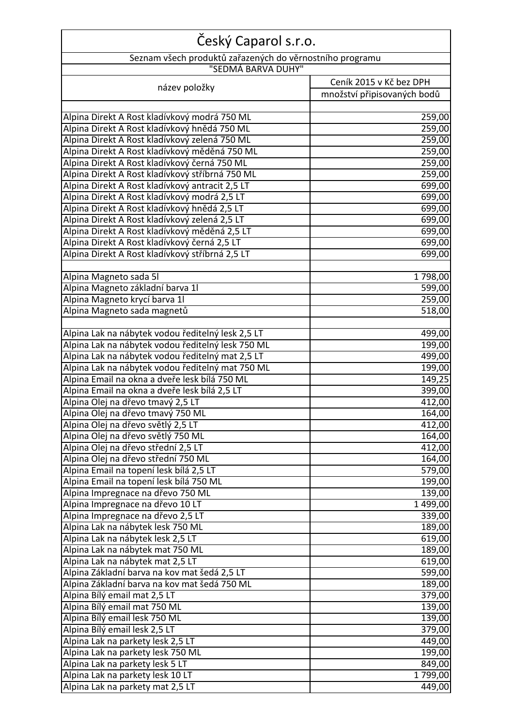| Český Caparol s.r.o.                                     |                             |  |
|----------------------------------------------------------|-----------------------------|--|
| Seznam všech produktů zařazených do věrnostního programu |                             |  |
| "SEDMÁ BARVA DUHY"                                       |                             |  |
|                                                          | Ceník 2015 v Kč bez DPH     |  |
| název položky                                            | množství připisovaných bodů |  |
|                                                          |                             |  |
| Alpina Direkt A Rost kladívkový modrá 750 ML             | 259,00                      |  |
| Alpina Direkt A Rost kladívkový hnědá 750 ML             | 259,00                      |  |
| Alpina Direkt A Rost kladívkový zelená 750 ML            | 259,00                      |  |
| Alpina Direkt A Rost kladívkový měděná 750 ML            | 259,00                      |  |
| Alpina Direkt A Rost kladívkový černá 750 ML             | 259,00                      |  |
| Alpina Direkt A Rost kladívkový stříbrná 750 ML          | 259,00                      |  |
| Alpina Direkt A Rost kladívkový antracit 2,5 LT          | 699,00                      |  |
| Alpina Direkt A Rost kladívkový modrá 2,5 LT             | 699,00                      |  |
| Alpina Direkt A Rost kladívkový hnědá 2,5 LT             | 699,00                      |  |
| Alpina Direkt A Rost kladívkový zelená 2,5 LT            | 699,00                      |  |
| Alpina Direkt A Rost kladívkový měděná 2,5 LT            | 699,00                      |  |
| Alpina Direkt A Rost kladívkový černá 2,5 LT             | 699,00                      |  |
| Alpina Direkt A Rost kladívkový stříbrná 2,5 LT          | 699,00                      |  |
|                                                          |                             |  |
| Alpina Magneto sada 5l                                   | 1798,00                     |  |
| Alpina Magneto základní barva 1l                         | 599,00                      |  |
| Alpina Magneto krycí barva 11                            | 259,00                      |  |
| Alpina Magneto sada magnetů                              | 518,00                      |  |
|                                                          |                             |  |
| Alpina Lak na nábytek vodou ředitelný lesk 2,5 LT        | 499,00                      |  |
| Alpina Lak na nábytek vodou ředitelný lesk 750 ML        | 199,00                      |  |
| Alpina Lak na nábytek vodou ředitelný mat 2,5 LT         | 499,00                      |  |
| Alpina Lak na nábytek vodou ředitelný mat 750 ML         | 199,00                      |  |
| Alpina Email na okna a dveře lesk bílá 750 ML            | 149,25                      |  |
| Alpina Email na okna a dveře lesk bílá 2,5 LT            | 399,00                      |  |
| Alpina Olej na dřevo tmavý 2,5 LT                        | 412,00                      |  |
| Alpina Olej na dřevo tmavý 750 ML                        | 164,00                      |  |
| Alpina Olej na dřevo světlý 2,5 LT                       | 412,00                      |  |
| Alpina Olej na dřevo světlý 750 ML                       | 164,00                      |  |
| Alpina Olej na dřevo střední 2,5 LT                      | 412,00                      |  |
| Alpina Olej na dřevo střední 750 ML                      | 164,00                      |  |
| Alpina Email na topení lesk bílá 2,5 LT                  | 579,00                      |  |
| Alpina Email na topení lesk bílá 750 ML                  | 199,00                      |  |
| Alpina Impregnace na dřevo 750 ML                        | 139,00                      |  |
| Alpina Impregnace na dřevo 10 LT                         | 1 499,00                    |  |
| Alpina Impregnace na dřevo 2,5 LT                        | 339,00                      |  |
| Alpina Lak na nábytek lesk 750 ML                        | 189,00                      |  |
| Alpina Lak na nábytek lesk 2,5 LT                        | 619,00                      |  |
| Alpina Lak na nábytek mat 750 ML                         | 189,00                      |  |
| Alpina Lak na nábytek mat 2,5 LT                         | 619,00                      |  |
| Alpina Základní barva na kov mat šedá 2,5 LT             | 599,00                      |  |
| Alpina Základní barva na kov mat šedá 750 ML             | 189,00                      |  |
| Alpina Bílý email mat 2,5 LT                             | 379,00                      |  |
| Alpina Bílý email mat 750 ML                             | 139,00                      |  |
| Alpina Bílý email lesk 750 ML                            | 139,00                      |  |
| Alpina Bílý email lesk 2,5 LT                            | 379,00                      |  |
| Alpina Lak na parkety lesk 2,5 LT                        | 449,00                      |  |
| Alpina Lak na parkety lesk 750 ML                        | 199,00                      |  |
| Alpina Lak na parkety lesk 5 LT                          | 849,00                      |  |
| Alpina Lak na parkety lesk 10 LT                         | 1799,00                     |  |
| Alpina Lak na parkety mat 2,5 LT                         | 449,00                      |  |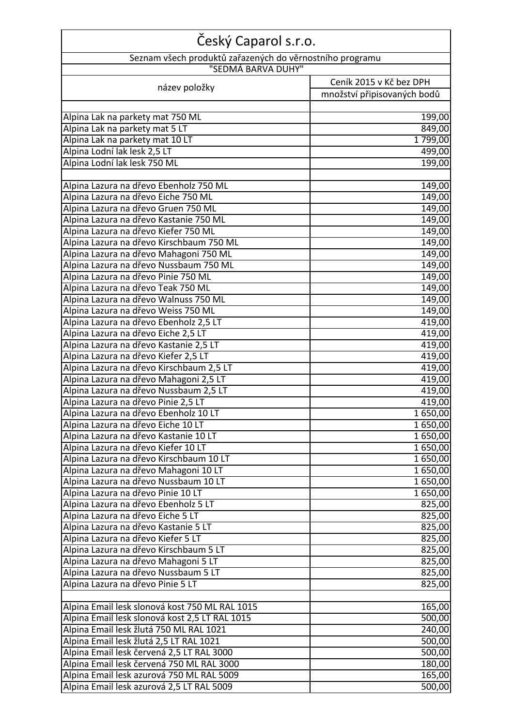| Český Caparol s.r.o.                                     |                             |
|----------------------------------------------------------|-----------------------------|
| Seznam všech produktů zařazených do věrnostního programu |                             |
| "SEDMÁ BARVA DUHY"                                       |                             |
| název položky                                            | Ceník 2015 v Kč bez DPH     |
|                                                          | množství připisovaných bodů |
|                                                          |                             |
| Alpina Lak na parkety mat 750 ML                         | 199,00                      |
| Alpina Lak na parkety mat 5 LT                           | 849,00                      |
| Alpina Lak na parkety mat 10 LT                          | 1799,00                     |
| Alpina Lodní lak lesk 2,5 LT                             | 499,00                      |
| Alpina Lodní lak lesk 750 ML                             | 199,00                      |
|                                                          |                             |
| Alpina Lazura na dřevo Ebenholz 750 ML                   | 149,00                      |
| Alpina Lazura na dřevo Eiche 750 ML                      | 149,00                      |
| Alpina Lazura na dřevo Gruen 750 ML                      | 149,00                      |
| Alpina Lazura na dřevo Kastanie 750 ML                   | 149,00                      |
| Alpina Lazura na dřevo Kiefer 750 ML                     | 149,00                      |
| Alpina Lazura na dřevo Kirschbaum 750 ML                 | 149,00                      |
| Alpina Lazura na dřevo Mahagoni 750 ML                   | 149,00                      |
| Alpina Lazura na dřevo Nussbaum 750 ML                   | 149,00                      |
| Alpina Lazura na dřevo Pinie 750 ML                      | 149,00                      |
| Alpina Lazura na dřevo Teak 750 ML                       | 149,00                      |
| Alpina Lazura na dřevo Walnuss 750 ML                    | 149,00                      |
| Alpina Lazura na dřevo Weiss 750 ML                      | 149,00                      |
| Alpina Lazura na dřevo Ebenholz 2,5 LT                   | 419,00                      |
| Alpina Lazura na dřevo Eiche 2,5 LT                      | 419,00                      |
| Alpina Lazura na dřevo Kastanie 2,5 LT                   | 419,00                      |
| Alpina Lazura na dřevo Kiefer 2,5 LT                     | 419,00                      |
| Alpina Lazura na dřevo Kirschbaum 2,5 LT                 | 419,00                      |
| Alpina Lazura na dřevo Mahagoni 2,5 LT                   | 419,00                      |
| Alpina Lazura na dřevo Nussbaum 2,5 LT                   | 419,00                      |
| Alpina Lazura na dřevo Pinie 2,5 LT                      | 419,00                      |
| Alpina Lazura na dřevo Ebenholz 10 LT                    | 1650,00                     |
| Alpina Lazura na dřevo Eiche 10 LT                       | 1 650,00                    |
| Alpina Lazura na dřevo Kastanie 10 LT                    | 1 650,00                    |
| Alpina Lazura na dřevo Kiefer 10 LT                      | 1650,00                     |
| Alpina Lazura na dřevo Kirschbaum 10 LT                  | 1650,00                     |
| Alpina Lazura na dřevo Mahagoni 10 LT                    | 1 650,00                    |
| Alpina Lazura na dřevo Nussbaum 10 LT                    | 1 650,00                    |
| Alpina Lazura na dřevo Pinie 10 LT                       | 1 650,00                    |
| Alpina Lazura na dřevo Ebenholz 5 LT                     | 825,00                      |
| Alpina Lazura na dřevo Eiche 5 LT                        | 825,00                      |
| Alpina Lazura na dřevo Kastanie 5 LT                     | 825,00                      |
| Alpina Lazura na dřevo Kiefer 5 LT                       | 825,00                      |
| Alpina Lazura na dřevo Kirschbaum 5 LT                   | 825,00                      |
| Alpina Lazura na dřevo Mahagoni 5 LT                     | 825,00                      |
| Alpina Lazura na dřevo Nussbaum 5 LT                     | 825,00                      |
| Alpina Lazura na dřevo Pinie 5 LT                        | 825,00                      |
| Alpina Email lesk slonová kost 750 ML RAL 1015           | 165,00                      |
| Alpina Email lesk slonová kost 2,5 LT RAL 1015           | 500,00                      |
| Alpina Email lesk žlutá 750 ML RAL 1021                  | 240,00                      |
| Alpina Email lesk žlutá 2,5 LT RAL 1021                  | 500,00                      |
| Alpina Email lesk červená 2,5 LT RAL 3000                | 500,00                      |
| Alpina Email lesk červená 750 ML RAL 3000                | 180,00                      |
| Alpina Email lesk azurová 750 ML RAL 5009                | 165,00                      |
| Alpina Email lesk azurová 2,5 LT RAL 5009                | 500,00                      |
|                                                          |                             |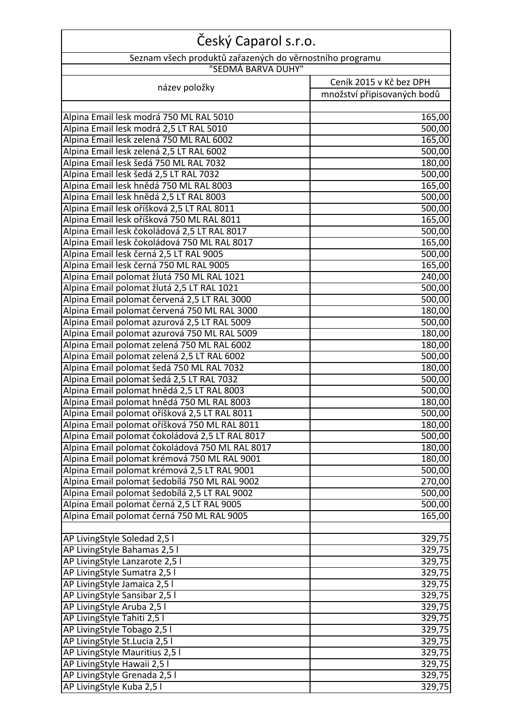| Seznam všech produktů zařazených do věrnostního programu<br>"SEDMÁ BARVA DUHY"<br>Ceník 2015 v Kč bez DPH<br>název položky<br>množství připisovaných bodů<br>165,00<br>500,00<br>165,00<br>500,00<br>180,00<br>500,00<br>165,00<br>Alpina Email lesk hnědá 2,5 LT RAL 8003<br>500,00<br>Alpina Email lesk oříšková 2,5 LT RAL 8011<br>500,00<br>Alpina Email lesk oříšková 750 ML RAL 8011<br>165,00<br>500,00<br>165,00<br>Alpina Email lesk černá 2,5 LT RAL 9005<br>500,00<br>Alpina Email lesk černá 750 ML RAL 9005<br>165,00<br>Alpina Email polomat žlutá 750 ML RAL 1021<br>240,00<br>Alpina Email polomat žlutá 2,5 LT RAL 1021<br>500,00<br>500,00<br>Alpina Email polomat červená 750 ML RAL 3000<br>180,00<br>Alpina Email polomat azurová 2,5 LT RAL 5009<br>500,00<br>Alpina Email polomat azurová 750 ML RAL 5009<br>180,00<br>180,00<br>Alpina Email polomat zelená 2,5 LT RAL 6002<br>500,00<br>Alpina Email polomat šedá 750 ML RAL 7032<br>180,00<br>Alpina Email polomat šedá 2,5 LT RAL 7032<br>500,00<br>Alpina Email polomat hnědá 2,5 LT RAL 8003<br>500,00<br>Alpina Email polomat hnědá 750 ML RAL 8003<br>180,00<br>Alpina Email polomat oříšková 2,5 LT RAL 8011<br>500,00<br>Alpina Email polomat oříšková 750 ML RAL 8011<br>180,00<br>Alpina Email polomat čokoládová 2,5 LT RAL 8017<br>500,00<br>Alpina Email polomat čokoládová 750 ML RAL 8017<br>180,00<br>Alpina Email polomat krémová 750 ML RAL 9001<br>180,00<br>Alpina Email polomat krémová 2,5 LT RAL 9001<br>500,00<br>Alpina Email polomat šedobílá 750 ML RAL 9002<br>270,00<br>Alpina Email polomat šedobílá 2,5 LT RAL 9002<br>500,00<br>Alpina Email polomat černá 2,5 LT RAL 9005<br>500,00<br>Alpina Email polomat černá 750 ML RAL 9005<br>165,00<br>AP LivingStyle Soledad 2,5 l<br>329,75<br>329,75<br>AP LivingStyle Bahamas 2,5 l<br>AP LivingStyle Lanzarote 2,5 l<br>329,75<br>AP LivingStyle Sumatra 2,5 l<br>329,75<br>AP LivingStyle Jamaica 2,5 l<br>329,75<br>AP LivingStyle Sansibar 2,5 I<br>329,75<br>AP LivingStyle Aruba 2,5 l<br>329,75<br>AP LivingStyle Tahiti 2,5 l<br>329,75<br>AP LivingStyle Tobago 2,5 l<br>329,75<br>AP LivingStyle St.Lucia 2,5 l<br>329,75<br>AP LivingStyle Mauritius 2,51<br>329,75<br>AP LivingStyle Hawaii 2,5 l<br>329,75 | Český Caparol s.r.o.                         |        |
|-------------------------------------------------------------------------------------------------------------------------------------------------------------------------------------------------------------------------------------------------------------------------------------------------------------------------------------------------------------------------------------------------------------------------------------------------------------------------------------------------------------------------------------------------------------------------------------------------------------------------------------------------------------------------------------------------------------------------------------------------------------------------------------------------------------------------------------------------------------------------------------------------------------------------------------------------------------------------------------------------------------------------------------------------------------------------------------------------------------------------------------------------------------------------------------------------------------------------------------------------------------------------------------------------------------------------------------------------------------------------------------------------------------------------------------------------------------------------------------------------------------------------------------------------------------------------------------------------------------------------------------------------------------------------------------------------------------------------------------------------------------------------------------------------------------------------------------------------------------------------------------------------------------------------------------------------------------------------------------------------------------------------------------------------------------------------------------------------------------------------------------------------------------------------------------------------------------------------------------------------------------------------------|----------------------------------------------|--------|
|                                                                                                                                                                                                                                                                                                                                                                                                                                                                                                                                                                                                                                                                                                                                                                                                                                                                                                                                                                                                                                                                                                                                                                                                                                                                                                                                                                                                                                                                                                                                                                                                                                                                                                                                                                                                                                                                                                                                                                                                                                                                                                                                                                                                                                                                               |                                              |        |
|                                                                                                                                                                                                                                                                                                                                                                                                                                                                                                                                                                                                                                                                                                                                                                                                                                                                                                                                                                                                                                                                                                                                                                                                                                                                                                                                                                                                                                                                                                                                                                                                                                                                                                                                                                                                                                                                                                                                                                                                                                                                                                                                                                                                                                                                               |                                              |        |
|                                                                                                                                                                                                                                                                                                                                                                                                                                                                                                                                                                                                                                                                                                                                                                                                                                                                                                                                                                                                                                                                                                                                                                                                                                                                                                                                                                                                                                                                                                                                                                                                                                                                                                                                                                                                                                                                                                                                                                                                                                                                                                                                                                                                                                                                               |                                              |        |
|                                                                                                                                                                                                                                                                                                                                                                                                                                                                                                                                                                                                                                                                                                                                                                                                                                                                                                                                                                                                                                                                                                                                                                                                                                                                                                                                                                                                                                                                                                                                                                                                                                                                                                                                                                                                                                                                                                                                                                                                                                                                                                                                                                                                                                                                               |                                              |        |
|                                                                                                                                                                                                                                                                                                                                                                                                                                                                                                                                                                                                                                                                                                                                                                                                                                                                                                                                                                                                                                                                                                                                                                                                                                                                                                                                                                                                                                                                                                                                                                                                                                                                                                                                                                                                                                                                                                                                                                                                                                                                                                                                                                                                                                                                               |                                              |        |
|                                                                                                                                                                                                                                                                                                                                                                                                                                                                                                                                                                                                                                                                                                                                                                                                                                                                                                                                                                                                                                                                                                                                                                                                                                                                                                                                                                                                                                                                                                                                                                                                                                                                                                                                                                                                                                                                                                                                                                                                                                                                                                                                                                                                                                                                               | Alpina Email lesk modrá 750 ML RAL 5010      |        |
|                                                                                                                                                                                                                                                                                                                                                                                                                                                                                                                                                                                                                                                                                                                                                                                                                                                                                                                                                                                                                                                                                                                                                                                                                                                                                                                                                                                                                                                                                                                                                                                                                                                                                                                                                                                                                                                                                                                                                                                                                                                                                                                                                                                                                                                                               | Alpina Email lesk modrá 2,5 LT RAL 5010      |        |
|                                                                                                                                                                                                                                                                                                                                                                                                                                                                                                                                                                                                                                                                                                                                                                                                                                                                                                                                                                                                                                                                                                                                                                                                                                                                                                                                                                                                                                                                                                                                                                                                                                                                                                                                                                                                                                                                                                                                                                                                                                                                                                                                                                                                                                                                               | Alpina Email lesk zelená 750 ML RAL 6002     |        |
|                                                                                                                                                                                                                                                                                                                                                                                                                                                                                                                                                                                                                                                                                                                                                                                                                                                                                                                                                                                                                                                                                                                                                                                                                                                                                                                                                                                                                                                                                                                                                                                                                                                                                                                                                                                                                                                                                                                                                                                                                                                                                                                                                                                                                                                                               | Alpina Email lesk zelená 2,5 LT RAL 6002     |        |
|                                                                                                                                                                                                                                                                                                                                                                                                                                                                                                                                                                                                                                                                                                                                                                                                                                                                                                                                                                                                                                                                                                                                                                                                                                                                                                                                                                                                                                                                                                                                                                                                                                                                                                                                                                                                                                                                                                                                                                                                                                                                                                                                                                                                                                                                               | Alpina Email lesk šedá 750 ML RAL 7032       |        |
|                                                                                                                                                                                                                                                                                                                                                                                                                                                                                                                                                                                                                                                                                                                                                                                                                                                                                                                                                                                                                                                                                                                                                                                                                                                                                                                                                                                                                                                                                                                                                                                                                                                                                                                                                                                                                                                                                                                                                                                                                                                                                                                                                                                                                                                                               | Alpina Email lesk šedá 2,5 LT RAL 7032       |        |
|                                                                                                                                                                                                                                                                                                                                                                                                                                                                                                                                                                                                                                                                                                                                                                                                                                                                                                                                                                                                                                                                                                                                                                                                                                                                                                                                                                                                                                                                                                                                                                                                                                                                                                                                                                                                                                                                                                                                                                                                                                                                                                                                                                                                                                                                               | Alpina Email lesk hnědá 750 ML RAL 8003      |        |
|                                                                                                                                                                                                                                                                                                                                                                                                                                                                                                                                                                                                                                                                                                                                                                                                                                                                                                                                                                                                                                                                                                                                                                                                                                                                                                                                                                                                                                                                                                                                                                                                                                                                                                                                                                                                                                                                                                                                                                                                                                                                                                                                                                                                                                                                               |                                              |        |
|                                                                                                                                                                                                                                                                                                                                                                                                                                                                                                                                                                                                                                                                                                                                                                                                                                                                                                                                                                                                                                                                                                                                                                                                                                                                                                                                                                                                                                                                                                                                                                                                                                                                                                                                                                                                                                                                                                                                                                                                                                                                                                                                                                                                                                                                               |                                              |        |
|                                                                                                                                                                                                                                                                                                                                                                                                                                                                                                                                                                                                                                                                                                                                                                                                                                                                                                                                                                                                                                                                                                                                                                                                                                                                                                                                                                                                                                                                                                                                                                                                                                                                                                                                                                                                                                                                                                                                                                                                                                                                                                                                                                                                                                                                               |                                              |        |
|                                                                                                                                                                                                                                                                                                                                                                                                                                                                                                                                                                                                                                                                                                                                                                                                                                                                                                                                                                                                                                                                                                                                                                                                                                                                                                                                                                                                                                                                                                                                                                                                                                                                                                                                                                                                                                                                                                                                                                                                                                                                                                                                                                                                                                                                               | Alpina Email lesk čokoládová 2,5 LT RAL 8017 |        |
|                                                                                                                                                                                                                                                                                                                                                                                                                                                                                                                                                                                                                                                                                                                                                                                                                                                                                                                                                                                                                                                                                                                                                                                                                                                                                                                                                                                                                                                                                                                                                                                                                                                                                                                                                                                                                                                                                                                                                                                                                                                                                                                                                                                                                                                                               | Alpina Email lesk čokoládová 750 ML RAL 8017 |        |
|                                                                                                                                                                                                                                                                                                                                                                                                                                                                                                                                                                                                                                                                                                                                                                                                                                                                                                                                                                                                                                                                                                                                                                                                                                                                                                                                                                                                                                                                                                                                                                                                                                                                                                                                                                                                                                                                                                                                                                                                                                                                                                                                                                                                                                                                               |                                              |        |
|                                                                                                                                                                                                                                                                                                                                                                                                                                                                                                                                                                                                                                                                                                                                                                                                                                                                                                                                                                                                                                                                                                                                                                                                                                                                                                                                                                                                                                                                                                                                                                                                                                                                                                                                                                                                                                                                                                                                                                                                                                                                                                                                                                                                                                                                               |                                              |        |
|                                                                                                                                                                                                                                                                                                                                                                                                                                                                                                                                                                                                                                                                                                                                                                                                                                                                                                                                                                                                                                                                                                                                                                                                                                                                                                                                                                                                                                                                                                                                                                                                                                                                                                                                                                                                                                                                                                                                                                                                                                                                                                                                                                                                                                                                               |                                              |        |
|                                                                                                                                                                                                                                                                                                                                                                                                                                                                                                                                                                                                                                                                                                                                                                                                                                                                                                                                                                                                                                                                                                                                                                                                                                                                                                                                                                                                                                                                                                                                                                                                                                                                                                                                                                                                                                                                                                                                                                                                                                                                                                                                                                                                                                                                               |                                              |        |
|                                                                                                                                                                                                                                                                                                                                                                                                                                                                                                                                                                                                                                                                                                                                                                                                                                                                                                                                                                                                                                                                                                                                                                                                                                                                                                                                                                                                                                                                                                                                                                                                                                                                                                                                                                                                                                                                                                                                                                                                                                                                                                                                                                                                                                                                               | Alpina Email polomat červená 2,5 LT RAL 3000 |        |
|                                                                                                                                                                                                                                                                                                                                                                                                                                                                                                                                                                                                                                                                                                                                                                                                                                                                                                                                                                                                                                                                                                                                                                                                                                                                                                                                                                                                                                                                                                                                                                                                                                                                                                                                                                                                                                                                                                                                                                                                                                                                                                                                                                                                                                                                               |                                              |        |
|                                                                                                                                                                                                                                                                                                                                                                                                                                                                                                                                                                                                                                                                                                                                                                                                                                                                                                                                                                                                                                                                                                                                                                                                                                                                                                                                                                                                                                                                                                                                                                                                                                                                                                                                                                                                                                                                                                                                                                                                                                                                                                                                                                                                                                                                               |                                              |        |
|                                                                                                                                                                                                                                                                                                                                                                                                                                                                                                                                                                                                                                                                                                                                                                                                                                                                                                                                                                                                                                                                                                                                                                                                                                                                                                                                                                                                                                                                                                                                                                                                                                                                                                                                                                                                                                                                                                                                                                                                                                                                                                                                                                                                                                                                               |                                              |        |
|                                                                                                                                                                                                                                                                                                                                                                                                                                                                                                                                                                                                                                                                                                                                                                                                                                                                                                                                                                                                                                                                                                                                                                                                                                                                                                                                                                                                                                                                                                                                                                                                                                                                                                                                                                                                                                                                                                                                                                                                                                                                                                                                                                                                                                                                               | Alpina Email polomat zelená 750 ML RAL 6002  |        |
|                                                                                                                                                                                                                                                                                                                                                                                                                                                                                                                                                                                                                                                                                                                                                                                                                                                                                                                                                                                                                                                                                                                                                                                                                                                                                                                                                                                                                                                                                                                                                                                                                                                                                                                                                                                                                                                                                                                                                                                                                                                                                                                                                                                                                                                                               |                                              |        |
|                                                                                                                                                                                                                                                                                                                                                                                                                                                                                                                                                                                                                                                                                                                                                                                                                                                                                                                                                                                                                                                                                                                                                                                                                                                                                                                                                                                                                                                                                                                                                                                                                                                                                                                                                                                                                                                                                                                                                                                                                                                                                                                                                                                                                                                                               |                                              |        |
|                                                                                                                                                                                                                                                                                                                                                                                                                                                                                                                                                                                                                                                                                                                                                                                                                                                                                                                                                                                                                                                                                                                                                                                                                                                                                                                                                                                                                                                                                                                                                                                                                                                                                                                                                                                                                                                                                                                                                                                                                                                                                                                                                                                                                                                                               |                                              |        |
|                                                                                                                                                                                                                                                                                                                                                                                                                                                                                                                                                                                                                                                                                                                                                                                                                                                                                                                                                                                                                                                                                                                                                                                                                                                                                                                                                                                                                                                                                                                                                                                                                                                                                                                                                                                                                                                                                                                                                                                                                                                                                                                                                                                                                                                                               |                                              |        |
|                                                                                                                                                                                                                                                                                                                                                                                                                                                                                                                                                                                                                                                                                                                                                                                                                                                                                                                                                                                                                                                                                                                                                                                                                                                                                                                                                                                                                                                                                                                                                                                                                                                                                                                                                                                                                                                                                                                                                                                                                                                                                                                                                                                                                                                                               |                                              |        |
|                                                                                                                                                                                                                                                                                                                                                                                                                                                                                                                                                                                                                                                                                                                                                                                                                                                                                                                                                                                                                                                                                                                                                                                                                                                                                                                                                                                                                                                                                                                                                                                                                                                                                                                                                                                                                                                                                                                                                                                                                                                                                                                                                                                                                                                                               |                                              |        |
|                                                                                                                                                                                                                                                                                                                                                                                                                                                                                                                                                                                                                                                                                                                                                                                                                                                                                                                                                                                                                                                                                                                                                                                                                                                                                                                                                                                                                                                                                                                                                                                                                                                                                                                                                                                                                                                                                                                                                                                                                                                                                                                                                                                                                                                                               |                                              |        |
|                                                                                                                                                                                                                                                                                                                                                                                                                                                                                                                                                                                                                                                                                                                                                                                                                                                                                                                                                                                                                                                                                                                                                                                                                                                                                                                                                                                                                                                                                                                                                                                                                                                                                                                                                                                                                                                                                                                                                                                                                                                                                                                                                                                                                                                                               |                                              |        |
|                                                                                                                                                                                                                                                                                                                                                                                                                                                                                                                                                                                                                                                                                                                                                                                                                                                                                                                                                                                                                                                                                                                                                                                                                                                                                                                                                                                                                                                                                                                                                                                                                                                                                                                                                                                                                                                                                                                                                                                                                                                                                                                                                                                                                                                                               |                                              |        |
|                                                                                                                                                                                                                                                                                                                                                                                                                                                                                                                                                                                                                                                                                                                                                                                                                                                                                                                                                                                                                                                                                                                                                                                                                                                                                                                                                                                                                                                                                                                                                                                                                                                                                                                                                                                                                                                                                                                                                                                                                                                                                                                                                                                                                                                                               |                                              |        |
|                                                                                                                                                                                                                                                                                                                                                                                                                                                                                                                                                                                                                                                                                                                                                                                                                                                                                                                                                                                                                                                                                                                                                                                                                                                                                                                                                                                                                                                                                                                                                                                                                                                                                                                                                                                                                                                                                                                                                                                                                                                                                                                                                                                                                                                                               |                                              |        |
|                                                                                                                                                                                                                                                                                                                                                                                                                                                                                                                                                                                                                                                                                                                                                                                                                                                                                                                                                                                                                                                                                                                                                                                                                                                                                                                                                                                                                                                                                                                                                                                                                                                                                                                                                                                                                                                                                                                                                                                                                                                                                                                                                                                                                                                                               |                                              |        |
|                                                                                                                                                                                                                                                                                                                                                                                                                                                                                                                                                                                                                                                                                                                                                                                                                                                                                                                                                                                                                                                                                                                                                                                                                                                                                                                                                                                                                                                                                                                                                                                                                                                                                                                                                                                                                                                                                                                                                                                                                                                                                                                                                                                                                                                                               |                                              |        |
|                                                                                                                                                                                                                                                                                                                                                                                                                                                                                                                                                                                                                                                                                                                                                                                                                                                                                                                                                                                                                                                                                                                                                                                                                                                                                                                                                                                                                                                                                                                                                                                                                                                                                                                                                                                                                                                                                                                                                                                                                                                                                                                                                                                                                                                                               |                                              |        |
|                                                                                                                                                                                                                                                                                                                                                                                                                                                                                                                                                                                                                                                                                                                                                                                                                                                                                                                                                                                                                                                                                                                                                                                                                                                                                                                                                                                                                                                                                                                                                                                                                                                                                                                                                                                                                                                                                                                                                                                                                                                                                                                                                                                                                                                                               |                                              |        |
|                                                                                                                                                                                                                                                                                                                                                                                                                                                                                                                                                                                                                                                                                                                                                                                                                                                                                                                                                                                                                                                                                                                                                                                                                                                                                                                                                                                                                                                                                                                                                                                                                                                                                                                                                                                                                                                                                                                                                                                                                                                                                                                                                                                                                                                                               |                                              |        |
|                                                                                                                                                                                                                                                                                                                                                                                                                                                                                                                                                                                                                                                                                                                                                                                                                                                                                                                                                                                                                                                                                                                                                                                                                                                                                                                                                                                                                                                                                                                                                                                                                                                                                                                                                                                                                                                                                                                                                                                                                                                                                                                                                                                                                                                                               |                                              |        |
|                                                                                                                                                                                                                                                                                                                                                                                                                                                                                                                                                                                                                                                                                                                                                                                                                                                                                                                                                                                                                                                                                                                                                                                                                                                                                                                                                                                                                                                                                                                                                                                                                                                                                                                                                                                                                                                                                                                                                                                                                                                                                                                                                                                                                                                                               |                                              |        |
|                                                                                                                                                                                                                                                                                                                                                                                                                                                                                                                                                                                                                                                                                                                                                                                                                                                                                                                                                                                                                                                                                                                                                                                                                                                                                                                                                                                                                                                                                                                                                                                                                                                                                                                                                                                                                                                                                                                                                                                                                                                                                                                                                                                                                                                                               |                                              |        |
|                                                                                                                                                                                                                                                                                                                                                                                                                                                                                                                                                                                                                                                                                                                                                                                                                                                                                                                                                                                                                                                                                                                                                                                                                                                                                                                                                                                                                                                                                                                                                                                                                                                                                                                                                                                                                                                                                                                                                                                                                                                                                                                                                                                                                                                                               |                                              |        |
|                                                                                                                                                                                                                                                                                                                                                                                                                                                                                                                                                                                                                                                                                                                                                                                                                                                                                                                                                                                                                                                                                                                                                                                                                                                                                                                                                                                                                                                                                                                                                                                                                                                                                                                                                                                                                                                                                                                                                                                                                                                                                                                                                                                                                                                                               |                                              |        |
|                                                                                                                                                                                                                                                                                                                                                                                                                                                                                                                                                                                                                                                                                                                                                                                                                                                                                                                                                                                                                                                                                                                                                                                                                                                                                                                                                                                                                                                                                                                                                                                                                                                                                                                                                                                                                                                                                                                                                                                                                                                                                                                                                                                                                                                                               |                                              |        |
|                                                                                                                                                                                                                                                                                                                                                                                                                                                                                                                                                                                                                                                                                                                                                                                                                                                                                                                                                                                                                                                                                                                                                                                                                                                                                                                                                                                                                                                                                                                                                                                                                                                                                                                                                                                                                                                                                                                                                                                                                                                                                                                                                                                                                                                                               |                                              |        |
|                                                                                                                                                                                                                                                                                                                                                                                                                                                                                                                                                                                                                                                                                                                                                                                                                                                                                                                                                                                                                                                                                                                                                                                                                                                                                                                                                                                                                                                                                                                                                                                                                                                                                                                                                                                                                                                                                                                                                                                                                                                                                                                                                                                                                                                                               |                                              |        |
|                                                                                                                                                                                                                                                                                                                                                                                                                                                                                                                                                                                                                                                                                                                                                                                                                                                                                                                                                                                                                                                                                                                                                                                                                                                                                                                                                                                                                                                                                                                                                                                                                                                                                                                                                                                                                                                                                                                                                                                                                                                                                                                                                                                                                                                                               |                                              |        |
|                                                                                                                                                                                                                                                                                                                                                                                                                                                                                                                                                                                                                                                                                                                                                                                                                                                                                                                                                                                                                                                                                                                                                                                                                                                                                                                                                                                                                                                                                                                                                                                                                                                                                                                                                                                                                                                                                                                                                                                                                                                                                                                                                                                                                                                                               |                                              |        |
|                                                                                                                                                                                                                                                                                                                                                                                                                                                                                                                                                                                                                                                                                                                                                                                                                                                                                                                                                                                                                                                                                                                                                                                                                                                                                                                                                                                                                                                                                                                                                                                                                                                                                                                                                                                                                                                                                                                                                                                                                                                                                                                                                                                                                                                                               |                                              |        |
|                                                                                                                                                                                                                                                                                                                                                                                                                                                                                                                                                                                                                                                                                                                                                                                                                                                                                                                                                                                                                                                                                                                                                                                                                                                                                                                                                                                                                                                                                                                                                                                                                                                                                                                                                                                                                                                                                                                                                                                                                                                                                                                                                                                                                                                                               | AP LivingStyle Grenada 2,5 l                 | 329,75 |
| 329,75                                                                                                                                                                                                                                                                                                                                                                                                                                                                                                                                                                                                                                                                                                                                                                                                                                                                                                                                                                                                                                                                                                                                                                                                                                                                                                                                                                                                                                                                                                                                                                                                                                                                                                                                                                                                                                                                                                                                                                                                                                                                                                                                                                                                                                                                        | AP LivingStyle Kuba 2,5 l                    |        |